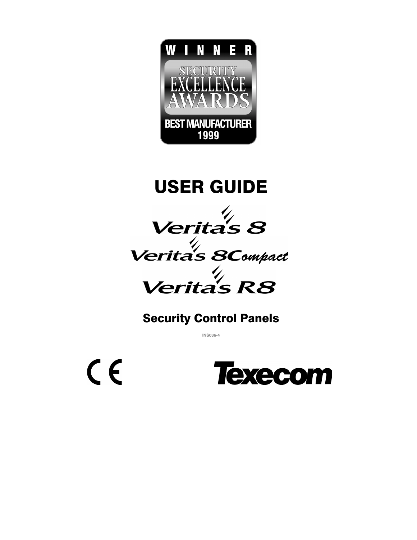

USER GUIDE

*Verita's 8* 



## Security Control Panels

**INS036-4**

 $C<sub>f</sub>$ 

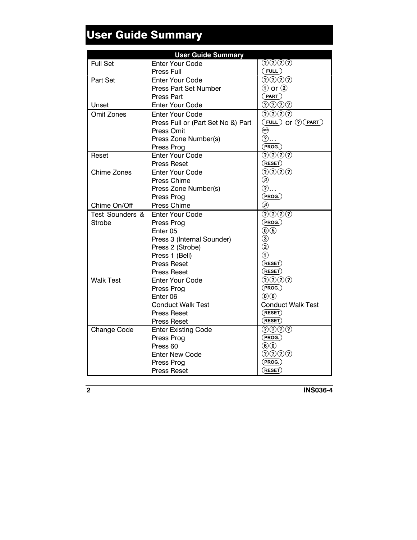# User Guide Summary

|                   | <b>User Guide Summary</b>          |                                                     |
|-------------------|------------------------------------|-----------------------------------------------------|
| <b>Full Set</b>   | <b>Enter Your Code</b>             | $\textcircled{\scriptsize{?}}@$                     |
|                   | Press Full                         | (TUL)                                               |
| Part Set          | <b>Enter Your Code</b>             | <u> のののの</u>                                        |
|                   | <b>Press Part Set Number</b>       | $\circled{1}$ or $\circled{2}$                      |
|                   | Press Part                         | (RART)                                              |
| Unset             | <b>Enter Your Code</b>             | ೧೧೧೧                                                |
| <b>Omit Zones</b> | Enter Your Code                    | (?)(?)(?)                                           |
|                   | Press Full or (Part Set No &) Part | $(FULL)$ or $\mathcal{O}(PART)$                     |
|                   | Press Omit                         | $\circled{m}$                                       |
|                   | Press Zone Number(s)               | $\circled{2}$                                       |
|                   | Press Prog                         | (PROG.)                                             |
| Reset             | <b>Enter Your Code</b>             |                                                     |
|                   | <b>Press Reset</b>                 | $($ RESET $)$                                       |
| Chime Zones       | <b>Enter Your Code</b>             | $\circledS$ $\circledS$ $\circledS$                 |
|                   | Press Chime                        | ◉                                                   |
|                   | Press Zone Number(s)               | $(2)$                                               |
|                   | Press Prog                         | (PROG.)                                             |
| Chime On/Off      | Press Chime                        | ⋒                                                   |
| Test Sounders &   | <b>Enter Your Code</b>             | $\overline{\textcircled{\odot}\textcircled{\odot}}$ |
| <b>Strobe</b>     | Press Prog                         | (PROG.)                                             |
|                   | Enter <sub>05</sub>                | $\circledcirc$                                      |
|                   | Press 3 (Internal Sounder)         | $\begin{matrix} (3) \\ (2) \end{matrix}$            |
|                   | Press 2 (Strobe)                   |                                                     |
|                   | Press 1 (Bell)                     | $\bar{(\mathsf{1})}$                                |
|                   | <b>Press Reset</b>                 | $($ RESET $)$                                       |
|                   | <b>Press Reset</b>                 | $($ RESET $)$                                       |
| <b>Walk Test</b>  | <b>Enter Your Code</b>             |                                                     |
|                   | Press Prog                         | (PROG.)                                             |
|                   | Enter <sub>06</sub>                | $\mathbf{0}$ $\mathbf{0}$                           |
|                   | <b>Conduct Walk Test</b>           | <b>Conduct Walk Test</b>                            |
|                   | <b>Press Reset</b>                 | $($ RESET $)$                                       |
|                   | <b>Press Reset</b>                 | $($ RESET $)$                                       |
| Change Code       | <b>Enter Existing Code</b>         | QQQQ                                                |
|                   | Press Prog                         | (PROG.)                                             |
|                   | Press <sub>60</sub>                | $\circledcirc$                                      |
|                   | <b>Enter New Code</b>              | <u>のののの</u>                                         |
|                   | Press Prog                         | (PROG.)                                             |
|                   | <b>Press Reset</b>                 | (RESET)                                             |

**2 INS036-4**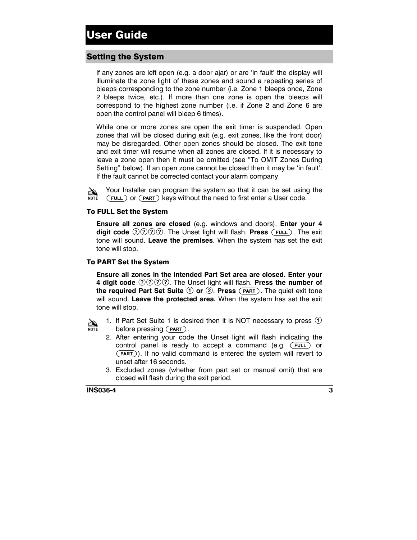## Setting the System

If any zones are left open (e.g. a door ajar) or are 'in fault' the display will illuminate the zone light of these zones and sound a repeating series of bleeps corresponding to the zone number (i.e. Zone 1 bleeps once, Zone 2 bleeps twice, etc.). If more than one zone is open the bleeps will correspond to the highest zone number (i.e. if Zone 2 and Zone 6 are open the control panel will bleep 6 times).

While one or more zones are open the exit timer is suspended. Open zones that will be closed during exit (e.g. exit zones, like the front door) may be disregarded. Other open zones should be closed. The exit tone and exit timer will resume when all zones are closed. If it is necessary to leave a zone open then it must be omitted (see "To OMIT Zones During Setting" below). If an open zone cannot be closed then it may be 'in fault'. If the fault cannot be corrected contact your alarm company.

20 **NOTE** 

(FULL) or (PART) keys without the need to first enter a User code. Your Installer can program the system so that it can be set using the

#### To FULL Set the System

**Ensure all zones are closed** (e.g. windows and doors). **Enter your 4 digit code**  $\mathcal{D} \mathcal{D} \mathcal{D} \mathcal{D}$ . The Unset light will flash. **Press** (FULL). The exit tone will sound. **Leave the premises**. When the system has set the exit tone will stop.

#### To PART Set the System

**Ensure all zones in the intended Part Set area are closed. Enter your 4 digit code**  $(2)(2)(2)(2)$ . The Unset light will flash. **Press the number of the required Part Set Suite**  $\Phi$  or  $\Phi$ . Press  $(\overline{PART})$ . The quiet exit tone will sound. **Leave the protected area.** When the system has set the exit tone will stop.



1. If Part Set Suite 1 is desired then it is NOT necessary to press  $(1)$ before pressing  $(PART)$ .

- 2. After entering your code the Unset light will flash indicating the control panel is ready to accept a command (e.g. (FULL) or (PART)). If no valid command is entered the system will revert to unset after 16 seconds.
- 3. Excluded zones (whether from part set or manual omit) that are closed will flash during the exit period.

**INS036-4 3**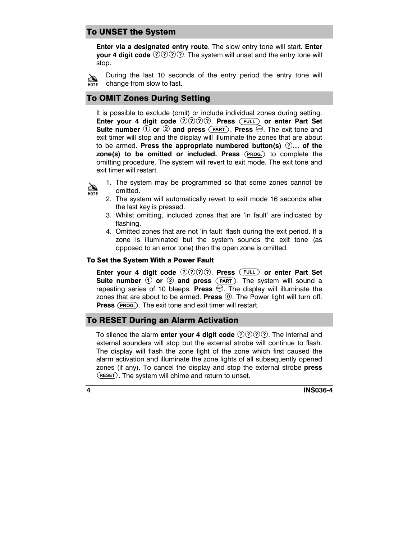## To UNSET the System

**Enter via a designated entry route**. The slow entry tone will start. **Enter your 4 digit code**  $\mathcal{D} \mathcal{D} \mathcal{D} \mathcal{D}$ . The system will unset and the entry tone will stop.

During the last 10 seconds of the entry period the entry tone will ⇘  $\overline{M}$  change from slow to fast.

## To OMIT Zones During Setting

It is possible to exclude (omit) or include individual zones during setting. **Enter your 4 digit code**  $\mathcal{D}\mathcal{D}\mathcal{D}\mathcal{D}$ . Press (FULL) or enter Part Set **Suite number 1 or 2 and press** (PART). Press **.** The exit tone and exit timer will stop and the display will illuminate the zones that are about to be armed. **Press the appropriate numbered button(s)** !**… of the** zone(s) to be omitted or included. Press (PROG.) to complete the omitting procedure. The system will revert to exit mode. The exit tone and exit timer will restart.



- 1. The system may be programmed so that some zones cannot be omitted.
- 2. The system will automatically revert to exit mode 16 seconds after the last key is pressed.
- 3. Whilst omitting, included zones that are 'in fault' are indicated by flashing.
- 4. Omitted zones that are not 'in fault' flash during the exit period. If a zone is illuminated but the system sounds the exit tone (as opposed to an error tone) then the open zone is omitted.

#### To Set the System With a Power Fault

**Enter your 4 digit code**  $\mathcal{D}(\Omega)\mathcal{D}(\Omega)$ . Press (FULL) or enter Part Set **Suite number**  $\Phi$  or  $\Phi$  and press  $(\overline{PART})$ . The system will sound a repeating series of 10 bleeps. **Press**  $\mathcal{A}$ . The display will illuminate the zones that are about to be armed. **Press** (0). The Power light will turn off. **Press** (PROG.). The exit tone and exit timer will restart.

## To RESET During an Alarm Activation

To silence the alarm **enter your 4 digit code**  $(2)$  ( $2)$  ( $2)$ ). The internal and external sounders will stop but the external strobe will continue to flash. The display will flash the zone light of the zone which first caused the alarm activation and illuminate the zone lights of all subsequently opened zones (if any). To cancel the display and stop the external strobe **press** ESTISS (i. d.r.), it is safted the display drid step and return to unset.

**4 INS036-4**

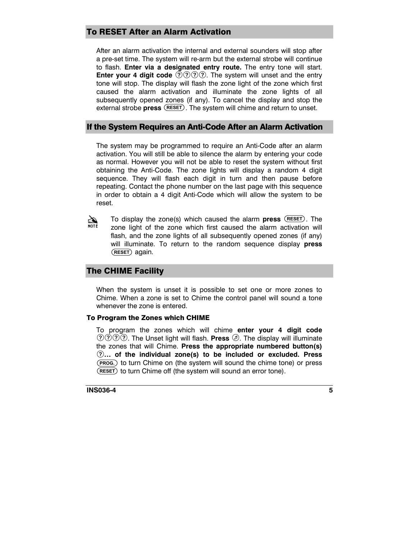## To RESET After an Alarm Activation

After an alarm activation the internal and external sounders will stop after a pre-set time. The system will re-arm but the external strobe will continue to flash. **Enter via a designated entry route.** The entry tone will start. **Enter your 4 digit code**  $\mathcal{D}\mathcal{D}\mathcal{D}\mathcal{D}$ . The system will unset and the entry tone will stop. The display will flash the zone light of the zone which first caused the alarm activation and illuminate the zone lights of all subsequently opened zones (if any). To cancel the display and stop the external strobe **press** (RESET). The system will chime and return to unset.

### If the System Requires an Anti-Code After an Alarm Activation

The system may be programmed to require an Anti-Code after an alarm activation. You will still be able to silence the alarm by entering your code as normal. However you will not be able to reset the system without first obtaining the Anti-Code. The zone lights will display a random 4 digit sequence. They will flash each digit in turn and then pause before repeating. Contact the phone number on the last page with this sequence in order to obtain a 4 digit Anti-Code which will allow the system to be reset.

AND RO To display the zone(s) which caused the alarm **press** (RESET). The zone light of the zone which first caused the alarm activation will flash, and the zone lights of all subsequently opened zones (if any) will illuminate. To return to the random sequence display **press** (RESET) again.

## The CHIME Facility

When the system is unset it is possible to set one or more zones to Chime. When a zone is set to Chime the control panel will sound a tone whenever the zone is entered.

#### To Program the Zones which CHIME

To program the zones which will chime **enter your 4 digit code**  $(2)(2)(2)$ . The Unset light will flash. **Press**  $(2)$ . The display will illuminate the zones that will Chime. **Press the appropriate numbered button(s)**  $(2)$ ... of the individual zone(s) to be included or excluded. Press  $\left( \textcolor{red}{T} \right)$ **... of the individual zone(s) to be included or excluded. Press**<br>(PROG.) to turn Chime on (the system will sound the chime tone) or press  $\overline{\overline{\text{(}}}$  to turn Chime off (the system will sound an error tone).

#### **INS036-4 5**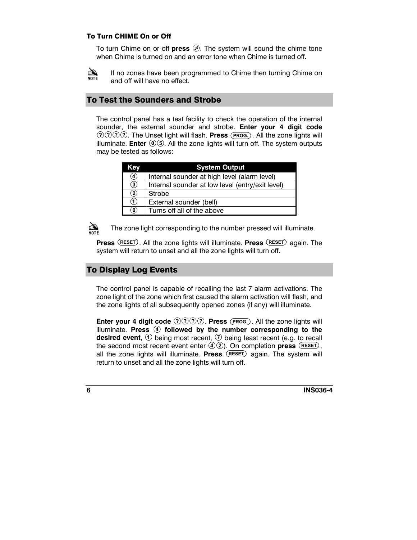#### To Turn CHIME On or Off

To turn Chime on or off **press**  $\oslash$ . The system will sound the chime tone when Chime is turned on and an error tone when Chime is turned off.



If no zones have been programmed to Chime then turning Chime on and off will have no effect.

## To Test the Sounders and Strobe

The control panel has a test facility to check the operation of the internal sounder, the external sounder and strobe. **Enter your 4 digit code (2000)**. The Unset light will flash. Press (PROG.). All the zone lights will illuminate. **Enter**  $\mathbf{0}\mathbf{0}$ . All the zone lights will turn off. The system outputs may be tested as follows:

| Kev            | <b>System Output</b>                             |
|----------------|--------------------------------------------------|
| 4              | Internal sounder at high level (alarm level)     |
| $\circled{3}$  | Internal sounder at low level (entry/exit level) |
| $\circled{2}$  | Strobe                                           |
| 1              | External sounder (bell)                          |
| $\circledcirc$ | Turns off all of the above                       |



The zone light corresponding to the number pressed will illuminate.

**Press** (RESET). All the zone lights will illuminate. Press (RESET) again. The system will return to unset and all the zone lights will turn off.

## To Display Log Events

The control panel is capable of recalling the last 7 alarm activations. The zone light of the zone which first caused the alarm activation will flash, and the zone lights of all subsequently opened zones (if any) will illuminate.

**Enter your 4 digit code**  $\mathcal{O} \mathcal{O} \mathcal{O} \mathcal{O}$ . **Press** (PROG.). All the zone lights will illuminate. Press 4 followed by the number corresponding to the **desired event,**  $\odot$  being most recent,  $\odot$  being least recent (e.g. to recall the second most recent event enter  $(4)(2)$ . On completion **press**  $(REST)$ . all the zone lights will illuminate. **Press** (RESET) again. The system will return to unset and all the zone lights will turn off.

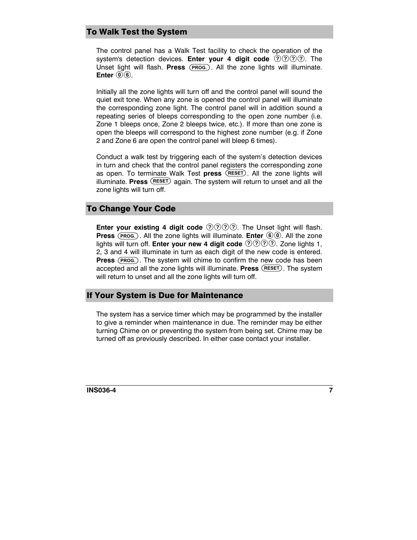## To Walk Test the System

The control panel has a Walk Test facility to check the operation of the system's detection devices. **Enter your 4 digit code**  $(2)(2)(2)$ . The Unset light will flash. Press (PROG.). All the zone lights will illuminate. **Enter**  $\circled{0}$ .

Initially all the zone lights will turn off and the control panel will sound the quiet exit tone. When any zone is opened the control panel will illuminate the corresponding zone light. The control panel will in addition sound a repeating series of bleeps corresponding to the open zone number (i.e. Zone 1 bleeps once, Zone 2 bleeps twice, etc.). If more than one zone is open the bleeps will correspond to the highest zone number (e.g. if Zone 2 and Zone 6 are open the control panel will bleep 6 times).

Conduct a walk test by triggering each of the system's detection devices in turn and check that the control panel registers the corresponding zone as open. To terminate Walk Test press (RESET). All the zone lights will illuminate. **Press** (RESET) again. The system will return to unset and all the zone lights will turn off.

## To Change Your Code

**Enter your existing 4 digit code**  $\mathcal{O}(\Omega)\mathcal{O}(\Omega)$ . The Unset light will flash. **Press** (PROG.). All the zone lights will illuminate. **Enter**  $\odot$   $\odot$ . All the zone lights will turn off. **Enter your new 4 digit code**  $\mathcal{D}\mathcal{D}\mathcal{D}\mathcal{D}$ . Zone lights 1, 2, 3 and 4 will illuminate in turn as each digit of the new code is entered. **Press** (PROG.). The system will chime to confirm the new code has been accepted and all the zone lights will illuminate. **Press** (RESET). The system will return to unset and all the zone lights will turn off.

### If Your System is Due for Maintenance

The system has a service timer which may be programmed by the installer to give a reminder when maintenance in due. The reminder may be either turning Chime on or preventing the system from being set. Chime may be turned off as previously described. In either case contact your installer.

#### **INS036-4 7**